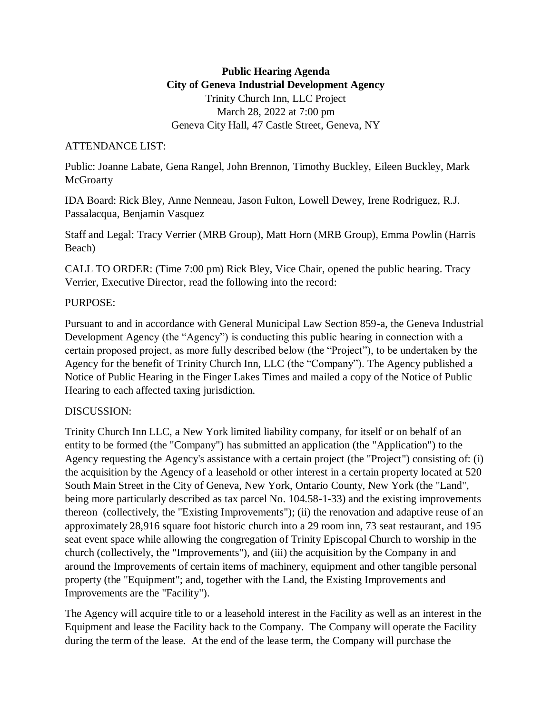# **Public Hearing Agenda City of Geneva Industrial Development Agency** Trinity Church Inn, LLC Project March 28, 2022 at 7:00 pm Geneva City Hall, 47 Castle Street, Geneva, NY

### ATTENDANCE LIST:

Public: Joanne Labate, Gena Rangel, John Brennon, Timothy Buckley, Eileen Buckley, Mark **McGroarty** 

IDA Board: Rick Bley, Anne Nenneau, Jason Fulton, Lowell Dewey, Irene Rodriguez, R.J. Passalacqua, Benjamin Vasquez

Staff and Legal: Tracy Verrier (MRB Group), Matt Horn (MRB Group), Emma Powlin (Harris Beach)

CALL TO ORDER: (Time 7:00 pm) Rick Bley, Vice Chair, opened the public hearing. Tracy Verrier, Executive Director, read the following into the record:

### PURPOSE:

Pursuant to and in accordance with General Municipal Law Section 859-a, the Geneva Industrial Development Agency (the "Agency") is conducting this public hearing in connection with a certain proposed project, as more fully described below (the "Project"), to be undertaken by the Agency for the benefit of Trinity Church Inn, LLC (the "Company"). The Agency published a Notice of Public Hearing in the Finger Lakes Times and mailed a copy of the Notice of Public Hearing to each affected taxing jurisdiction.

## DISCUSSION:

Trinity Church Inn LLC, a New York limited liability company, for itself or on behalf of an entity to be formed (the "Company") has submitted an application (the "Application") to the Agency requesting the Agency's assistance with a certain project (the "Project") consisting of: (i) the acquisition by the Agency of a leasehold or other interest in a certain property located at 520 South Main Street in the City of Geneva, New York, Ontario County, New York (the "Land", being more particularly described as tax parcel No. 104.58-1-33) and the existing improvements thereon (collectively, the "Existing Improvements"); (ii) the renovation and adaptive reuse of an approximately 28,916 square foot historic church into a 29 room inn, 73 seat restaurant, and 195 seat event space while allowing the congregation of Trinity Episcopal Church to worship in the church (collectively, the "Improvements"), and (iii) the acquisition by the Company in and around the Improvements of certain items of machinery, equipment and other tangible personal property (the "Equipment"; and, together with the Land, the Existing Improvements and Improvements are the "Facility").

The Agency will acquire title to or a leasehold interest in the Facility as well as an interest in the Equipment and lease the Facility back to the Company. The Company will operate the Facility during the term of the lease. At the end of the lease term, the Company will purchase the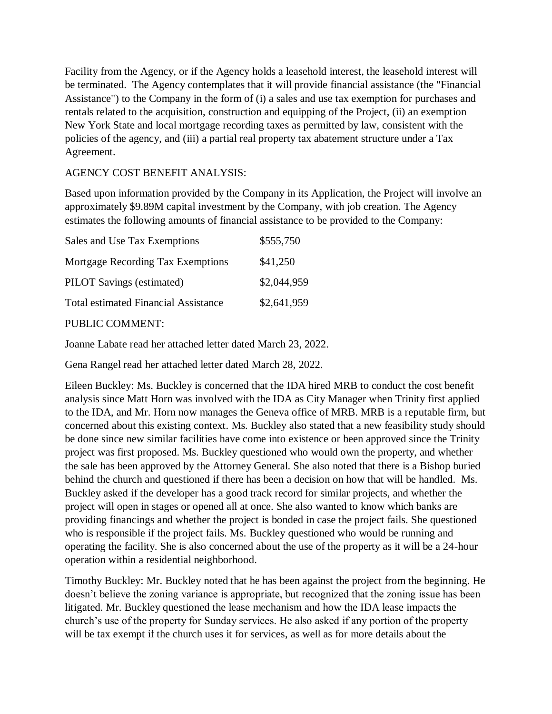Facility from the Agency, or if the Agency holds a leasehold interest, the leasehold interest will be terminated. The Agency contemplates that it will provide financial assistance (the "Financial Assistance") to the Company in the form of (i) a sales and use tax exemption for purchases and rentals related to the acquisition, construction and equipping of the Project, (ii) an exemption New York State and local mortgage recording taxes as permitted by law, consistent with the policies of the agency, and (iii) a partial real property tax abatement structure under a Tax Agreement.

# AGENCY COST BENEFIT ANALYSIS:

Based upon information provided by the Company in its Application, the Project will involve an approximately \$9.89M capital investment by the Company, with job creation. The Agency estimates the following amounts of financial assistance to be provided to the Company:

| Sales and Use Tax Exemptions                          | \$555,750   |
|-------------------------------------------------------|-------------|
| Mortgage Recording Tax Exemptions                     | \$41,250    |
| <b>PILOT</b> Savings (estimated)                      | \$2,044,959 |
| <b>Total estimated Financial Assistance</b>           | \$2,641,959 |
| $I$ $\cap$ $\cap$ $\cap$ $I$ $\cap$ $I$ $\cap$ $\cap$ |             |

### PUBLIC COMMENT:

Joanne Labate read her attached letter dated March 23, 2022.

Gena Rangel read her attached letter dated March 28, 2022.

Eileen Buckley: Ms. Buckley is concerned that the IDA hired MRB to conduct the cost benefit analysis since Matt Horn was involved with the IDA as City Manager when Trinity first applied to the IDA, and Mr. Horn now manages the Geneva office of MRB. MRB is a reputable firm, but concerned about this existing context. Ms. Buckley also stated that a new feasibility study should be done since new similar facilities have come into existence or been approved since the Trinity project was first proposed. Ms. Buckley questioned who would own the property, and whether the sale has been approved by the Attorney General. She also noted that there is a Bishop buried behind the church and questioned if there has been a decision on how that will be handled. Ms. Buckley asked if the developer has a good track record for similar projects, and whether the project will open in stages or opened all at once. She also wanted to know which banks are providing financings and whether the project is bonded in case the project fails. She questioned who is responsible if the project fails. Ms. Buckley questioned who would be running and operating the facility. She is also concerned about the use of the property as it will be a 24-hour operation within a residential neighborhood.

Timothy Buckley: Mr. Buckley noted that he has been against the project from the beginning. He doesn't believe the zoning variance is appropriate, but recognized that the zoning issue has been litigated. Mr. Buckley questioned the lease mechanism and how the IDA lease impacts the church's use of the property for Sunday services. He also asked if any portion of the property will be tax exempt if the church uses it for services, as well as for more details about the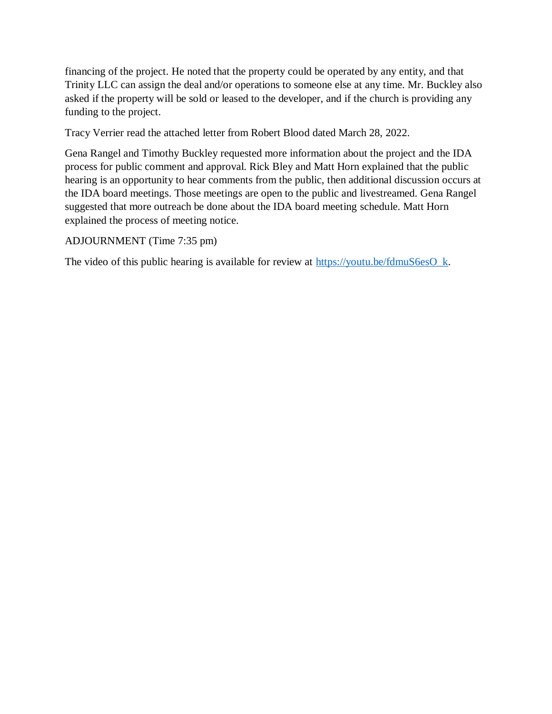financing of the project. He noted that the property could be operated by any entity, and that Trinity LLC can assign the deal and/or operations to someone else at any time. Mr. Buckley also asked if the property will be sold or leased to the developer, and if the church is providing any funding to the project.

Tracy Verrier read the attached letter from Robert Blood dated March 28, 2022.

Gena Rangel and Timothy Buckley requested more information about the project and the IDA process for public comment and approval. Rick Bley and Matt Horn explained that the public hearing is an opportunity to hear comments from the public, then additional discussion occurs at the IDA board meetings. Those meetings are open to the public and livestreamed. Gena Rangel suggested that more outreach be done about the IDA board meeting schedule. Matt Horn explained the process of meeting notice.

### ADJOURNMENT (Time 7:35 pm)

The video of this public hearing is available for review at [https://youtu.be/fdmuS6esO\\_k.](https://youtu.be/fdmuS6esO_k)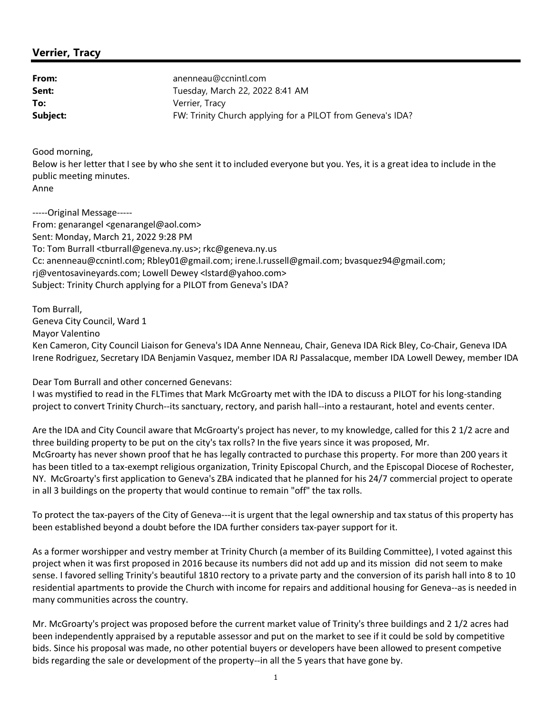### **Verrier, Tracy**

| From:    | anenneau@ccnintl.com                                       |
|----------|------------------------------------------------------------|
| Sent:    | Tuesday, March 22, 2022 8:41 AM                            |
| To:      | Verrier, Tracy                                             |
| Subject: | FW: Trinity Church applying for a PILOT from Geneva's IDA? |

Good morning,

Below is her letter that I see by who she sent it to included everyone but you. Yes, it is a great idea to include in the public meeting minutes. Anne

-----Original Message----- From: genarangel <[genarangel@aol.com>](mailto:genarangel@aol.com) Sent: Monday, March 21, 2022 9:28 PM To: Tom Burrall <[tburrall@geneva.ny.us>](mailto:tburrall@geneva.ny.us); [rkc@geneva.ny.us](mailto:rkc@geneva.ny.us) Cc: anenneau@ccnintl.com; Rbley01@gmail.com; irene.l.russell@gmail.com; [bvasquez94@gmail.com;](mailto:bvasquez94@gmail.com;) rj@ventosavineyards.com; Lowell Dewey <[lstard@yahoo.com](mailto:lstard@yahoo.com)> Subject: Trinity Church applying for a PILOT from Geneva's IDA?

Tom Burrall, Geneva City Council, Ward 1 Mayor Valentino Ken Cameron, City Council Liaison for Geneva's IDA Anne Nenneau, Chair, Geneva IDA Rick Bley, Co-Chair, Geneva IDA Irene Rodriguez, Secretary IDA Benjamin Vasquez, member IDA RJ Passalacque, member IDA Lowell Dewey, member IDA

Dear Tom Burrall and other concerned Genevans: I was mystified to read in the FLTimes that Mark McGroarty met with the IDA to discuss a PILOT for his long-standing project to convert Trinity Church--its sanctuary, rectory, and parish hall--into a restaurant, hotel and events center.

Are the IDA and City Council aware that McGroarty's project has never, to my knowledge, called for this 2 1/2 acre and three building property to be put on the city's tax rolls? In the five years since it was proposed, Mr. McGroarty has never shown proof that he has legally contracted to purchase this property. For more than 200 years it has been titled to a tax-exempt religious organization, Trinity Episcopal Church, and the Episcopal Diocese of Rochester, NY. McGroarty's first application to Geneva's ZBA indicated that he planned for his 24/7 commercial project to operate in all 3 buildings on the property that would continue to remain "off" the tax rolls.

To protect the tax-payers of the City of Geneva---it is urgent that the legal ownership and tax status of this property has been established beyond a doubt before the IDA further considers tax-payer support for it.

As a former worshipper and vestry member at Trinity Church (a member of its Building Committee), I voted against this project when it was first proposed in 2016 because its numbers did not add up and its mission did not seem to make sense. I favored selling Trinity's beautiful 1810 rectory to a private party and the conversion of its parish hall into 8 to 10 residential apartments to provide the Church with income for repairs and additional housing for Geneva--as is needed in many communities across the country.

Mr. McGroarty's project was proposed before the current market value of Trinity's three buildings and 2 1/2 acres had been independently appraised by a reputable assessor and put on the market to see if it could be sold by competitive bids. Since his proposal was made, no other potential buyers or developers have been allowed to present competive bids regarding the sale or development of the property--in all the 5 years that have gone by.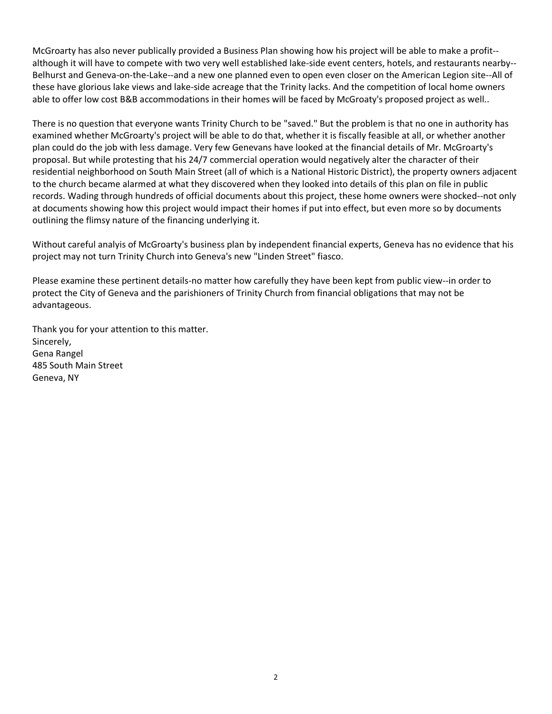McGroarty has also never publically provided a Business Plan showing how his project will be able to make a profit- although it will have to compete with two very well established lake-side event centers, hotels, and restaurants nearby-- Belhurst and Geneva-on-the-Lake--and a new one planned even to open even closer on the American Legion site--All of these have glorious lake views and lake-side acreage that the Trinity lacks. And the competition of local home owners able to offer low cost B&B accommodations in their homes will be faced by McGroaty's proposed project as well..

There is no question that everyone wants Trinity Church to be "saved." But the problem is that no one in authority has examined whether McGroarty's project will be able to do that, whether it is fiscally feasible at all, or whether another plan could do the job with less damage. Very few Genevans have looked at the financial details of Mr. McGroarty's proposal. But while protesting that his 24/7 commercial operation would negatively alter the character of their residential neighborhood on South Main Street (all of which is a National Historic District), the property owners adjacent to the church became alarmed at what they discovered when they looked into details of this plan on file in public records. Wading through hundreds of official documents about this project, these home owners were shocked--not only at documents showing how this project would impact their homes if put into effect, but even more so by documents outlining the flimsy nature of the financing underlying it.

Without careful analyis of McGroarty's business plan by independent financial experts, Geneva has no evidence that his project may not turn Trinity Church into Geneva's new "Linden Street" fiasco.

Please examine these pertinent details-no matter how carefully they have been kept from public view--in order to protect the City of Geneva and the parishioners of Trinity Church from financial obligations that may not be advantageous.

Thank you for your attention to this matter. Sincerely, Gena Rangel 485 South Main Street Geneva, NY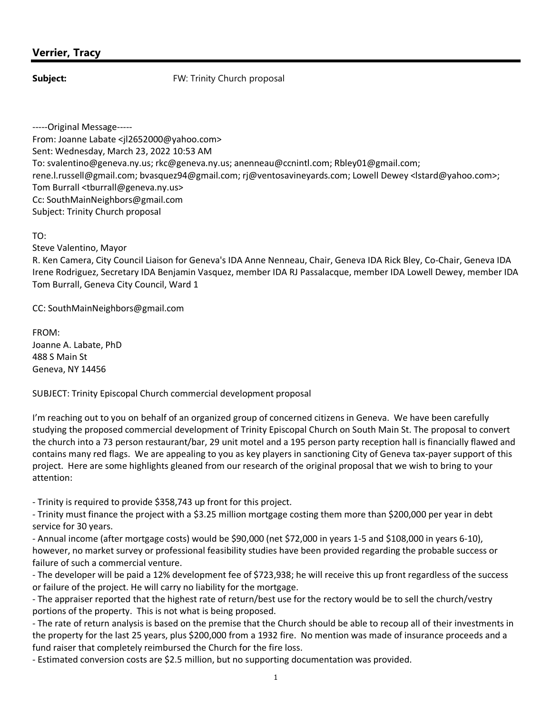### **Verrier, Tracy**

**Subject:** FW: Trinity Church proposal

-----Original Message----- From: Joanne Labate <[jl2652000@yahoo.com](mailto:jl2652000@yahoo.com)> Sent: Wednesday, March 23, 2022 10:53 AM To: svalentino@geneva.ny.us; rkc@geneva.ny.us; anenneau@ccnintl.com; [Rbley01@gmail.com;](mailto:Rbley01@gmail.com;) rene.l.russell@gmail.com; bvasquez94@gmail.com; rj@ventosavineyards.com; Lowell Dewey [<lstard@yahoo.com>](mailto:lstard@yahoo.com); Tom Burrall [<tburrall@geneva.ny.us>](mailto:tburrall@geneva.ny.us) Cc: [SouthMainNeighbors@gmail.com](mailto:SouthMainNeighbors@gmail.com) Subject: Trinity Church proposal

TO:

Steve Valentino, Mayor

R. Ken Camera, City Council Liaison for Geneva's IDA Anne Nenneau, Chair, Geneva IDA Rick Bley, Co-Chair, Geneva IDA Irene Rodriguez, Secretary IDA Benjamin Vasquez, member IDA RJ Passalacque, member IDA Lowell Dewey, member IDA Tom Burrall, Geneva City Council, Ward 1

CC: [SouthMainNeighbors@gmail.com](mailto:SouthMainNeighbors@gmail.com)

FROM: Joanne A. Labate, PhD 488 S Main St Geneva, NY 14456

SUBJECT: Trinity Episcopal Church commercial development proposal

I'm reaching out to you on behalf of an organized group of concerned citizens in Geneva. We have been carefully studying the proposed commercial development of Trinity Episcopal Church on South Main St. The proposal to convert the church into a 73 person restaurant/bar, 29 unit motel and a 195 person party reception hall is financially flawed and contains many red flags. We are appealing to you as key players in sanctioning City of Geneva tax-payer support of this project. Here are some highlights gleaned from our research of the original proposal that we wish to bring to your attention:

- Trinity is required to provide \$358,743 up front for this project.

- Trinity must finance the project with a \$3.25 million mortgage costing them more than \$200,000 per year in debt service for 30 years.

- Annual income (after mortgage costs) would be \$90,000 (net \$72,000 in years 1-5 and \$108,000 in years 6-10), however, no market survey or professional feasibility studies have been provided regarding the probable success or failure of such a commercial venture.

- The developer will be paid a 12% development fee of \$723,938; he will receive this up front regardless of the success or failure of the project. He will carry no liability for the mortgage.

- The appraiser reported that the highest rate of return/best use for the rectory would be to sell the church/vestry portions of the property. This is not what is being proposed.

- The rate of return analysis is based on the premise that the Church should be able to recoup all of their investments in the property for the last 25 years, plus \$200,000 from a 1932 fire. No mention was made of insurance proceeds and a fund raiser that completely reimbursed the Church for the fire loss.

- Estimated conversion costs are \$2.5 million, but no supporting documentation was provided.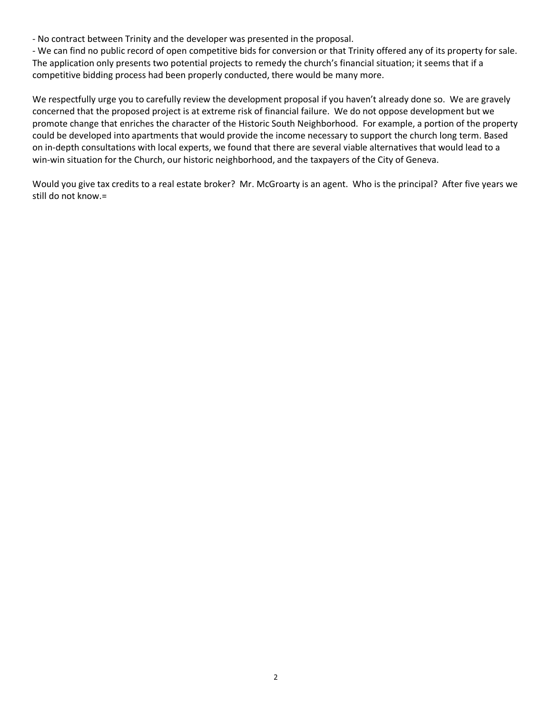- No contract between Trinity and the developer was presented in the proposal.

- We can find no public record of open competitive bids for conversion or that Trinity offered any of its property for sale. The application only presents two potential projects to remedy the church's financial situation; it seems that if a competitive bidding process had been properly conducted, there would be many more.

We respectfully urge you to carefully review the development proposal if you haven't already done so. We are gravely concerned that the proposed project is at extreme risk of financial failure. We do not oppose development but we promote change that enriches the character of the Historic South Neighborhood. For example, a portion of the property could be developed into apartments that would provide the income necessary to support the church long term. Based on in-depth consultations with local experts, we found that there are several viable alternatives that would lead to a win-win situation for the Church, our historic neighborhood, and the taxpayers of the City of Geneva.

Would you give tax credits to a real estate broker? Mr. McGroarty is an agent. Who is the principal? After five years we still do not know.=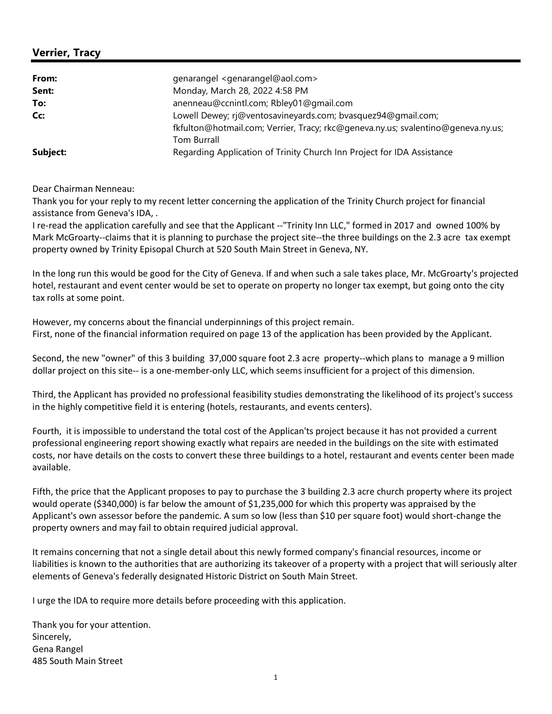### **Verrier, Tracy**

| From:                                                               | genarangel <genarangel@aol.com></genarangel@aol.com>                             |  |  |  |
|---------------------------------------------------------------------|----------------------------------------------------------------------------------|--|--|--|
| Sent:                                                               | Monday, March 28, 2022 4:58 PM                                                   |  |  |  |
| To:                                                                 | anenneau@ccnintl.com; Rbley01@gmail.com                                          |  |  |  |
| Lowell Dewey; rj@ventosavineyards.com; bvasquez94@gmail.com;<br>Cc: |                                                                                  |  |  |  |
|                                                                     | fkfulton@hotmail.com; Verrier, Tracy; rkc@geneva.ny.us; svalentino@geneva.ny.us; |  |  |  |
|                                                                     | <b>Tom Burrall</b>                                                               |  |  |  |
| Subject:                                                            | Regarding Application of Trinity Church Inn Project for IDA Assistance           |  |  |  |

Dear Chairman Nenneau:

Thank you for your reply to my recent letter concerning the application of the Trinity Church project for financial assistance from Geneva's IDA, .

I re-read the application carefully and see that the Applicant --"Trinity Inn LLC," formed in 2017 and owned 100% by Mark McGroarty--claims that it is planning to purchase the project site--the three buildings on the 2.3 acre tax exempt property owned by Trinity Episopal Church at 520 South Main Street in Geneva, NY.

In the long run this would be good for the City of Geneva. If and when such a sale takes place, Mr. McGroarty's projected hotel, restaurant and event center would be set to operate on property no longer tax exempt, but going onto the city tax rolls at some point.

However, my concerns about the financial underpinnings of this project remain. First, none of the financial information required on page 13 of the application has been provided by the Applicant.

Second, the new "owner" of this 3 building 37,000 square foot 2.3 acre property--which plans to manage a 9 million dollar project on this site-- is a one-member-only LLC, which seems insufficient for a project of this dimension.

Third, the Applicant has provided no professional feasibility studies demonstrating the likelihood of its project's success in the highly competitive field it is entering (hotels, restaurants, and events centers).

Fourth, it is impossible to understand the total cost of the Applican'ts project because it has not provided a current professional engineering report showing exactly what repairs are needed in the buildings on the site with estimated costs, nor have details on the costs to convert these three buildings to a hotel, restaurant and events center been made available.

Fifth, the price that the Applicant proposes to pay to purchase the 3 building 2.3 acre church property where its project would operate (\$340,000) is far below the amount of \$1,235,000 for which this property was appraised by the Applicant's own assessor before the pandemic. A sum so low (less than \$10 per square foot) would short-change the property owners and may fail to obtain required judicial approval.

It remains concerning that not a single detail about this newly formed company's financial resources, income or liabilities is known to the authorities that are authorizing its takeover of a property with a project that will seriously alter elements of Geneva's federally designated Historic District on South Main Street.

I urge the IDA to require more details before proceeding with this application.

Thank you for your attention. Sincerely, Gena Rangel 485 South Main Street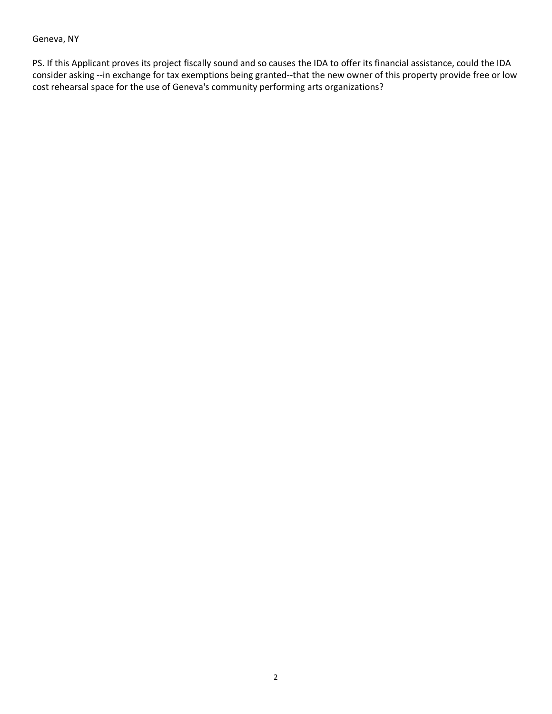### Geneva, NY

PS. If this Applicant proves its project fiscally sound and so causes the IDA to offer its financial assistance, could the IDA consider asking --in exchange for tax exemptions being granted--that the new owner of this property provide free or low cost rehearsal space for the use of Geneva's community performing arts organizations?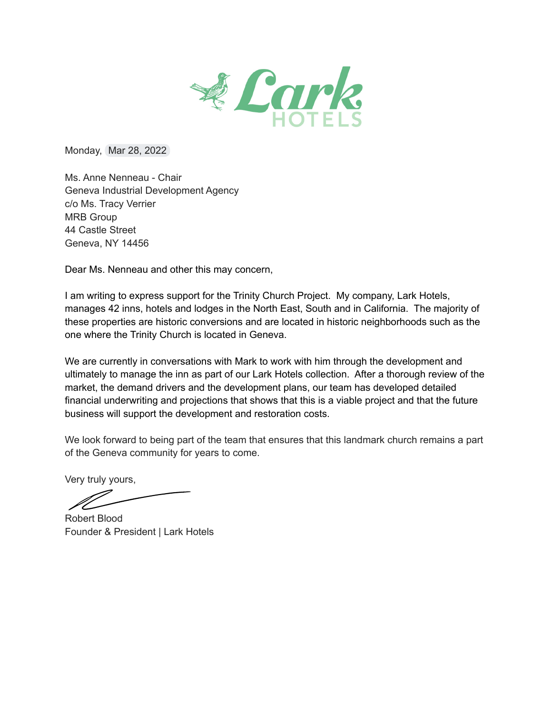

Monday, Mar 28, 2022

Ms. Anne Nenneau - Chair Geneva Industrial Development Agency c/o Ms. Tracy Verrier **MRB Group** 44 Castle Street Geneva, NY 14456

Dear Ms. Nenneau and other this may concern,

I am writing to express support for the Trinity Church Project. My company, Lark Hotels, manages 42 inns, hotels and lodges in the North East, South and in California. The majority of these properties are historic conversions and are located in historic neighborhoods such as the one where the Trinity Church is located in Geneva.

We are currently in conversations with Mark to work with him through the development and ultimately to manage the inn as part of our Lark Hotels collection. After a thorough review of the market, the demand drivers and the development plans, our team has developed detailed financial underwriting and projections that shows that this is a viable project and that the future business will support the development and restoration costs.

We look forward to being part of the team that ensures that this landmark church remains a part of the Geneva community for years to come.

Very truly yours,

Robert Blood

Founder & President | Lark Hotels